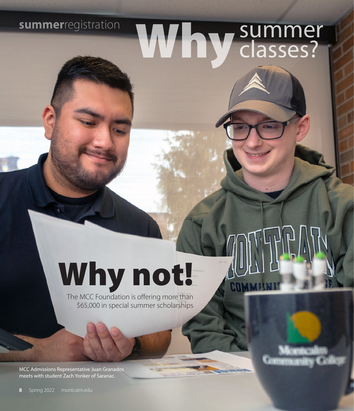# **summer**registration Why summer

# Why not!

The MCC Foundation is offering more than \$65,000 in special summer scholarships

COMP

MCC Admissions Representative Juan Granados meets with student Zach Yonker of Saranac.